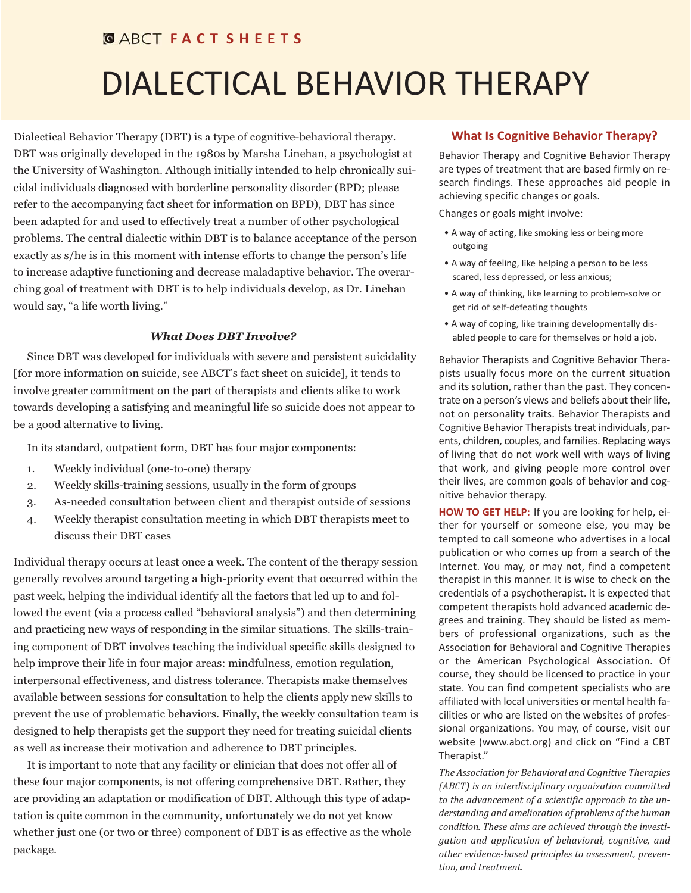## **GABCT FACT SHEETS**

# DIALECTICAL BEHAVIOR THERAPY

Dialectical Behavior Therapy (DBT) is a type of cognitive-behavioral therapy. DBT was originally developed in the 1980s by Marsha Linehan, a psychologist at the University of Washington. Although initially intended to help chronically suicidal individuals diagnosed with borderline personality disorder (BPD; please refer to the accompanying fact sheet for information on BPD), DBT has since been adapted for and used to effectively treat a number of other psychological problems. The central dialectic within DBT is to balance acceptance of the person exactly as s/he is in this moment with intense efforts to change the person's life to increase adaptive functioning and decrease maladaptive behavior. The overarching goal of treatment with DBT is to help individuals develop, as Dr. Linehan would say, "a life worth living."

#### *What Does DBT Involve?*

Since DBT was developed for individuals with severe and persistent suicidality [for more information on suicide, see ABCT's fact sheet on suicide], it tends to involve greater commitment on the part of therapists and clients alike to work towards developing a satisfying and meaningful life so suicide does not appear to be a good alternative to living.

In its standard, outpatient form, DBT has four major components:

- 1. Weekly individual (one-to-one) therapy
- 2. Weekly skills-training sessions, usually in the form of groups
- 3. As-needed consultation between client and therapist outside of sessions
- 4. Weekly therapist consultation meeting in which DBT therapists meet to discuss their DBT cases

Individual therapy occurs at least once a week. The content of the therapy session generally revolves around targeting a high-priority event that occurred within the past week, helping the individual identify all the factors that led up to and followed the event (via a process called "behavioral analysis") and then determining and practicing new ways of responding in the similar situations. The skills-training component of DBT involves teaching the individual specific skills designed to help improve their life in four major areas: mindfulness, emotion regulation, interpersonal effectiveness, and distress tolerance. Therapists make themselves available between sessions for consultation to help the clients apply new skills to prevent the use of problematic behaviors. Finally, the weekly consultation team is designed to help therapists get the support they need for treating suicidal clients as well as increase their motivation and adherence to DBT principles.

It is important to note that any facility or clinician that does not offer all of these four major components, is not offering comprehensive DBT. Rather, they are providing an adaptation or modification of DBT. Although this type of adaptation is quite common in the community, unfortunately we do not yet know whether just one (or two or three) component of DBT is as effective as the whole package.

## **What Is Cognitive Behavior Therapy?**

Behavior Therapy and Cognitive Behavior Therapy are types of treatment that are based firmly on research findings. These approaches aid people in achieving specific changes or goals.

Changes or goals might involve:

- A way of acting, like smoking less or being more outgoing
- A way of feeling, like helping a person to be less scared, less depressed, or less anxious;
- A way of thinking, like learning to problem-solve or get rid of self-defeating thoughts
- A way of coping, like training developmentally disabled people to care for themselves or hold a job.

Behavior Therapists and Cognitive Behavior Therapists usually focus more on the current situation and its solution, rather than the past. They concentrate on a person's views and beliefs about their life, not on personality traits. Behavior Therapists and Cognitive Behavior Therapists treat individuals, parents, children, couples, and families. Replacing ways of living that do not work well with ways of living that work, and giving people more control over their lives, are common goals of behavior and cognitive behavior therapy.

**HOW TO GET HELP:** If you are looking for help, either for yourself or someone else, you may be tempted to call someone who advertises in a local publication or who comes up from a search of the Internet. You may, or may not, find a competent therapist in this manner. It is wise to check on the credentials of a psychotherapist. It is expected that competent therapists hold advanced academic degrees and training. They should be listed as members of professional organizations, such as the Association for Behavioral and Cognitive Therapies or the American Psychological Association. Of course, they should be licensed to practice in your state. You can find competent specialists who are affiliated with local universities or mental health facilities or who are listed on the websites of professional organizations. You may, of course, visit our website (www.abct.org) and click on "Find a CBT Therapist."

*The Association for Behavioral and Cognitive Therapies (ABCT) is an interdisciplinary organization committed to the advancement of a scientific approach to the understanding and amelioration of problems of the human condition. These aims are achieved through the investigation and application of behavioral, cognitive, and other evidence-based principles to assessment, prevention, and treatment.*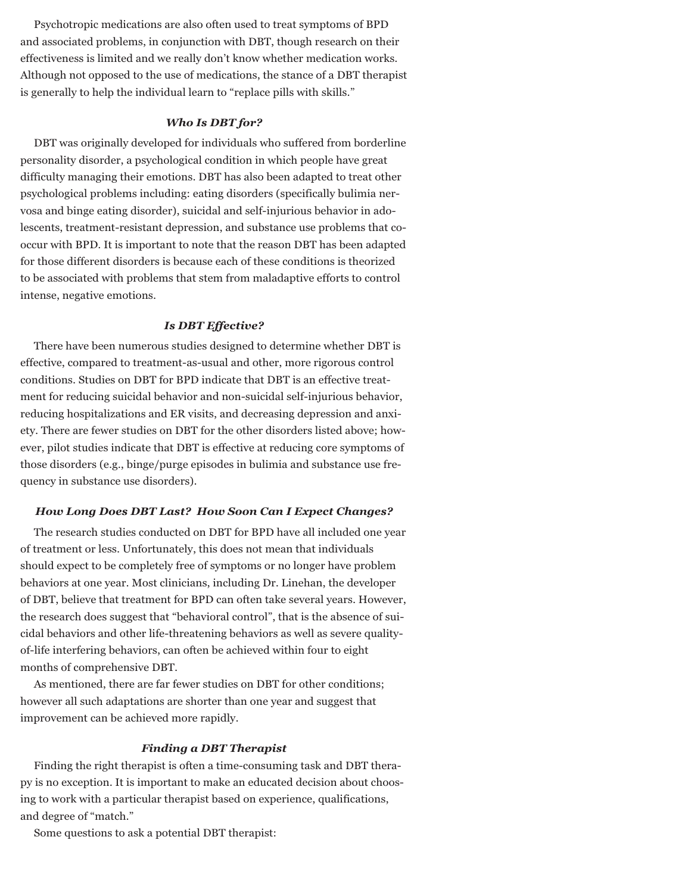Psychotropic medications are also often used to treat symptoms of BPD and associated problems, in conjunction with DBT, though research on their effectiveness is limited and we really don't know whether medication works. Although not opposed to the use of medications, the stance of a DBT therapist is generally to help the individual learn to "replace pills with skills."

#### *Who Is DBT for?*

DBT was originally developed for individuals who suffered from borderline personality disorder, a psychological condition in which people have great difficulty managing their emotions. DBT has also been adapted to treat other psychological problems including: eating disorders (specifically bulimia nervosa and binge eating disorder), suicidal and self-injurious behavior in adolescents, treatment-resistant depression, and substance use problems that cooccur with BPD. It is important to note that the reason DBT has been adapted for those different disorders is because each of these conditions is theorized to be associated with problems that stem from maladaptive efforts to control intense, negative emotions.

#### *Is DBT Effective?*

There have been numerous studies designed to determine whether DBT is effective, compared to treatment-as-usual and other, more rigorous control conditions. Studies on DBT for BPD indicate that DBT is an effective treatment for reducing suicidal behavior and non-suicidal self-injurious behavior, reducing hospitalizations and ER visits, and decreasing depression and anxiety. There are fewer studies on DBT for the other disorders listed above; however, pilot studies indicate that DBT is effective at reducing core symptoms of those disorders (e.g., binge/purge episodes in bulimia and substance use frequency in substance use disorders).

#### *How Long Does DBT Last? How Soon Can I Expect Changes?*

The research studies conducted on DBT for BPD have all included one year of treatment or less. Unfortunately, this does not mean that individuals should expect to be completely free of symptoms or no longer have problem behaviors at one year. Most clinicians, including Dr. Linehan, the developer of DBT, believe that treatment for BPD can often take several years. However, the research does suggest that "behavioral control", that is the absence of suicidal behaviors and other life-threatening behaviors as well as severe qualityof-life interfering behaviors, can often be achieved within four to eight months of comprehensive DBT.

As mentioned, there are far fewer studies on DBT for other conditions; however all such adaptations are shorter than one year and suggest that improvement can be achieved more rapidly.

#### *Finding a DBT Therapist*

Finding the right therapist is often a time-consuming task and DBT therapy is no exception. It is important to make an educated decision about choosing to work with a particular therapist based on experience, qualifications, and degree of "match."

Some questions to ask a potential DBT therapist: